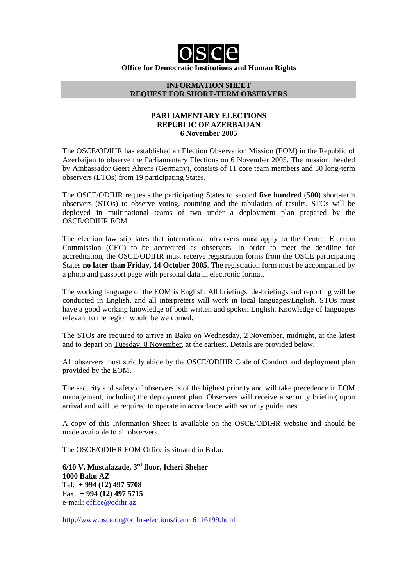# **Office for Democratic Institutions and Human Rights**

#### **INFORMATION SHEET REQUEST FOR SHORT-TERM OBSERVERS**

#### **PARLIAMENTARY ELECTIONS REPUBLIC OF AZERBAIJAN 6 November 2005**

The OSCE/ODIHR has established an Election Observation Mission (EOM) in the Republic of Azerbaijan to observe the Parliamentary Elections on 6 November 2005. The mission, headed by Ambassador Geert Ahrens (Germany), consists of 11 core team members and 30 long-term observers (LTOs) from 19 participating States.

The OSCE/ODIHR requests the participating States to second **five hundred** (**500**) short-term observers (STOs) to observe voting, counting and the tabulation of results. STOs will be deployed in multinational teams of two under a deployment plan prepared by the OSCE/ODIHR EOM.

The election law stipulates that international observers must apply to the Central Election Commission (CEC) to be accredited as observers. In order to meet the deadline for accreditation, the OSCE/ODIHR must receive registration forms from the OSCE participating States **no later than Friday, 14 October 2005**. The registration form must be accompanied by a photo and passport page with personal data in electronic format.

The working language of the EOM is English. All briefings, de-briefings and reporting will be conducted in English, and all interpreters will work in local languages/English. STOs must have a good working knowledge of both written and spoken English. Knowledge of languages relevant to the region would be welcomed.

The STOs are required to arrive in Baku on Wednesday, 2 November, midnight, at the latest and to depart on Tuesday, 8 November, at the earliest. Details are provided below.

All observers must strictly abide by the OSCE/ODIHR Code of Conduct and deployment plan provided by the EOM.

The security and safety of observers is of the highest priority and will take precedence in EOM management, including the deployment plan. Observers will receive a security briefing upon arrival and will be required to operate in accordance with security guidelines.

A copy of this Information Sheet is available on the OSCE/ODIHR website and should be made available to all observers.

The OSCE/ODIHR EOM Office is situated in Baku:

**6/10 V. Mustafazade, 3rd floor, Icheri Sheher 1000 Baku AZ** Tel: **+ 994 (12) 497 5708** Fax: **+ 994 (12) 497 5715** e-mail: office@odihr.az

http://www.osce.org/odihr-elections/item\_6\_16199.html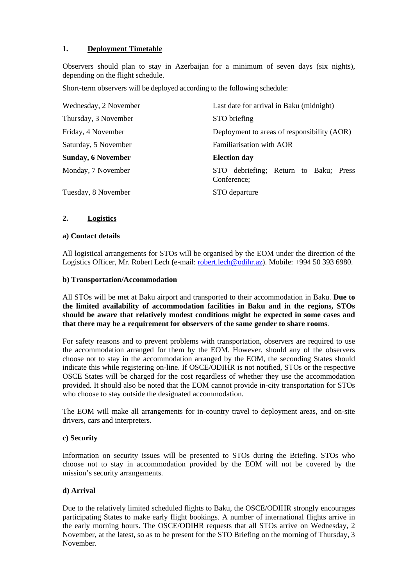# **1. Deployment Timetable**

Observers should plan to stay in Azerbaijan for a minimum of seven days (six nights), depending on the flight schedule.

Short-term observers will be deployed according to the following schedule:

| Wednesday, 2 November     | Last date for arrival in Baku (midnight)                 |
|---------------------------|----------------------------------------------------------|
| Thursday, 3 November      | STO briefing                                             |
| Friday, 4 November        | Deployment to areas of responsibility (AOR)              |
| Saturday, 5 November      | Familiarisation with AOR                                 |
| <b>Sunday, 6 November</b> | <b>Election day</b>                                      |
| Monday, 7 November        | debriefing; Return to Baku; Press<br>STO-<br>Conference; |
| Tuesday, 8 November       | STO departure                                            |

#### **2. Logistics**

#### **a) Contact details**

All logistical arrangements for STOs will be organised by the EOM under the direction of the Logistics Officer, Mr. Robert Lech **(**e-mail: robert.lech@odihr.az). Mobile: +994 50 393 6980.

## **b) Transportation/Accommodation**

All STOs will be met at Baku airport and transported to their accommodation in Baku. **Due to the limited availability of accommodation facilities in Baku and in the regions, STOs should be aware that relatively modest conditions might be expected in some cases and that there may be a requirement for observers of the same gender to share rooms**.

For safety reasons and to prevent problems with transportation, observers are required to use the accommodation arranged for them by the EOM. However, should any of the observers choose not to stay in the accommodation arranged by the EOM, the seconding States should indicate this while registering on-line. If OSCE/ODIHR is not notified, STOs or the respective OSCE States will be charged for the cost regardless of whether they use the accommodation provided. It should also be noted that the EOM cannot provide in-city transportation for STOs who choose to stay outside the designated accommodation.

The EOM will make all arrangements for in-country travel to deployment areas, and on-site drivers, cars and interpreters.

#### **c) Security**

Information on security issues will be presented to STOs during the Briefing. STOs who choose not to stay in accommodation provided by the EOM will not be covered by the mission's security arrangements.

#### **d) Arrival**

Due to the relatively limited scheduled flights to Baku, the OSCE/ODIHR strongly encourages participating States to make early flight bookings. A number of international flights arrive in the early morning hours. The OSCE/ODIHR requests that all STOs arrive on Wednesday, 2 November, at the latest, so as to be present for the STO Briefing on the morning of Thursday, 3 November.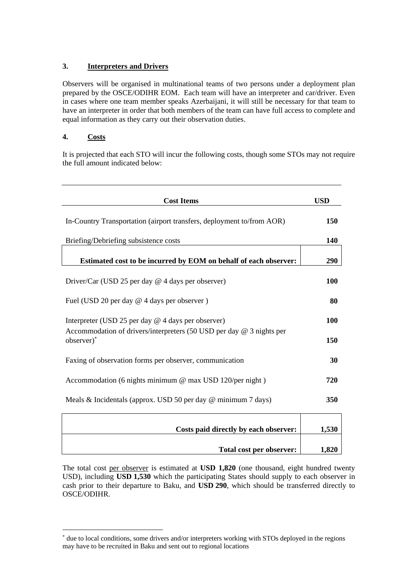# **3. Interpreters and Drivers**

Observers will be organised in multinational teams of two persons under a deployment plan prepared by the OSCE/ODIHR EOM. Each team will have an interpreter and car/driver. Even in cases where one team member speaks Azerbaijani, it will still be necessary for that team to have an interpreter in order that both members of the team can have full access to complete and equal information as they carry out their observation duties.

# **4. Costs**

 $\overline{a}$ 

It is projected that each STO will incur the following costs, though some STOs may not require the full amount indicated below:

| <b>Cost Items</b>                                                                                                                            |            |                                                         |
|----------------------------------------------------------------------------------------------------------------------------------------------|------------|---------------------------------------------------------|
| In-Country Transportation (airport transfers, deployment to/from AOR)                                                                        |            |                                                         |
| Briefing/Debriefing subsistence costs                                                                                                        |            |                                                         |
| Estimated cost to be incurred by EOM on behalf of each observer:                                                                             | 290        |                                                         |
| Driver/Car (USD 25 per day $@$ 4 days per observer)                                                                                          | <b>100</b> |                                                         |
| Fuel (USD 20 per day @ 4 days per observer)                                                                                                  |            |                                                         |
| Interpreter (USD 25 per day $@$ 4 days per observer)<br>Accommodation of drivers/interpreters (50 USD per day $@$ 3 nights per<br>observer)* |            |                                                         |
|                                                                                                                                              |            | Faxing of observation forms per observer, communication |
| Accommodation (6 nights minimum @ max USD 120/per night)                                                                                     |            |                                                         |
| Meals & Incidentals (approx. USD 50 per day $\omega$ minimum 7 days)                                                                         |            |                                                         |
| Costs paid directly by each observer:                                                                                                        | 1,530      |                                                         |
| Total cost per observer:                                                                                                                     | 1,820      |                                                         |

The total cost per observer is estimated at **USD 1,820** (one thousand, eight hundred twenty USD), including **USD 1,530** which the participating States should supply to each observer in cash prior to their departure to Baku, and **USD 290**, which should be transferred directly to OSCE/ODIHR.

<sup>∗</sup> due to local conditions, some drivers and/or interpreters working with STOs deployed in the regions may have to be recruited in Baku and sent out to regional locations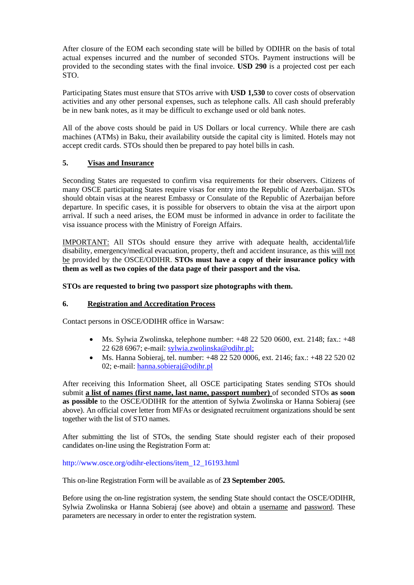After closure of the EOM each seconding state will be billed by ODIHR on the basis of total actual expenses incurred and the number of seconded STOs. Payment instructions will be provided to the seconding states with the final invoice. **USD 290** is a projected cost per each STO.

Participating States must ensure that STOs arrive with **USD 1,530** to cover costs of observation activities and any other personal expenses, such as telephone calls. All cash should preferably be in new bank notes, as it may be difficult to exchange used or old bank notes.

All of the above costs should be paid in US Dollars or local currency. While there are cash machines (ATMs) in Baku, their availability outside the capital city is limited. Hotels may not accept credit cards. STOs should then be prepared to pay hotel bills in cash.

# **5. Visas and Insurance**

Seconding States are requested to confirm visa requirements for their observers. Citizens of many OSCE participating States require visas for entry into the Republic of Azerbaijan. STOs should obtain visas at the nearest Embassy or Consulate of the Republic of Azerbaijan before departure. In specific cases, it is possible for observers to obtain the visa at the airport upon arrival. If such a need arises, the EOM must be informed in advance in order to facilitate the visa issuance process with the Ministry of Foreign Affairs.

IMPORTANT: All STOs should ensure they arrive with adequate health, accidental/life disability, emergency/medical evacuation, property, theft and accident insurance, as this will not be provided by the OSCE/ODIHR. **STOs must have a copy of their insurance policy with them as well as two copies of the data page of their passport and the visa.** 

#### **STOs are requested to bring two passport size photographs with them.**

# **6. Registration and Accreditation Process**

Contact persons in OSCE/ODIHR office in Warsaw:

- Ms. Sylwia Zwolinska, telephone number:  $+48$  22 520 0600, ext. 2148; fax.:  $+48$ 22 628 6967; e-mail: sylwia.zwolinska@odihr.pl;
- Ms. Hanna Sobieraj, tel. number: +48 22 520 0006, ext. 2146; fax.: +48 22 520 02 02; e-mail: hanna.sobieraj@odihr.pl

After receiving this Information Sheet, all OSCE participating States sending STOs should submit **a list of names (first name, last name, passport number)** of seconded STOs **as soon as possible** to the OSCE/ODIHR for the attention of Sylwia Zwolinska or Hanna Sobieraj (see above). An official cover letter from MFAs or designated recruitment organizations should be sent together with the list of STO names.

After submitting the list of STOs, the sending State should register each of their proposed candidates on-line using the Registration Form at:

#### http://www.osce.org/odihr-elections/item\_12\_16193.html

This on-line Registration Form will be available as of **23 September 2005.**

Before using the on-line registration system, the sending State should contact the OSCE/ODIHR, Sylwia Zwolinska or Hanna Sobieraj (see above) and obtain a username and password. These parameters are necessary in order to enter the registration system.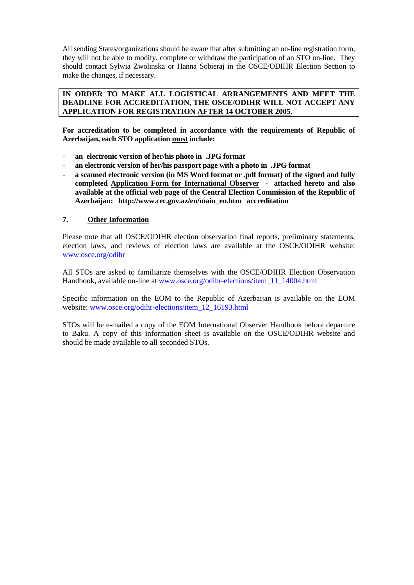All sending States/organizations should be aware that after submitting an on-line registration form, they will not be able to modify, complete or withdraw the participation of an STO on-line. They should contact Sylwia Zwolinska or Hanna Sobieraj in the OSCE/ODIHR Election Section to make the changes, if necessary.

#### **IN ORDER TO MAKE ALL LOGISTICAL ARRANGEMENTS AND MEET THE DEADLINE FOR ACCREDITATION, THE OSCE/ODIHR WILL NOT ACCEPT ANY APPLICATION FOR REGISTRATION AFTER 14 OCTOBER 2005.**

**For accreditation to be completed in accordance with the requirements of Republic of Azerbaijan, each STO application must include:** 

- **an electronic version of her/his photo in .JPG format**
- **an electronic version of her/his passport page with a photo in .JPG format**
- **a scanned electronic version (in MS Word format or .pdf format) of the signed and fully completed Application Form for International Observer - attached hereto and also available at the official web page of the Central Election Commission of the Republic of Azerbaijan: http://www.cec.gov.az/en/main\_en.htm accreditation**

#### **7. Other Information**

Please note that all OSCE/ODIHR election observation final reports, preliminary statements, election laws, and reviews of election laws are available at the OSCE/ODIHR website: www.osce.org/odihr

All STOs are asked to familiarize themselves with the OSCE/ODIHR Election Observation Handbook, available on-line at www.osce.org/odihr-elections/item\_11\_14004.html

Specific information on the EOM to the Republic of Azerbaijan is available on the EOM website: www.osce.org/odihr-elections/item\_12\_16193.html

STOs will be e-mailed a copy of the EOM International Observer Handbook before departure to Baku. A copy of this information sheet is available on the OSCE/ODIHR website and should be made available to all seconded STOs.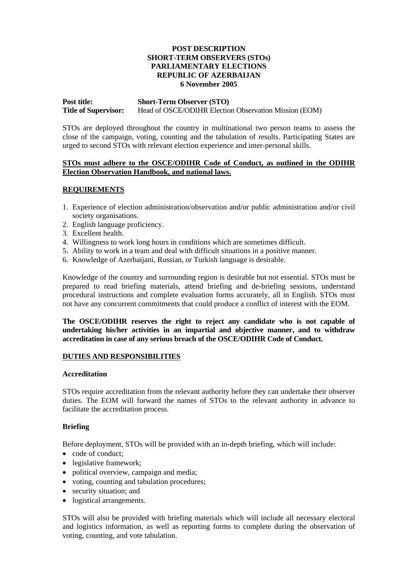#### **POST DESCRIPTION SHORT-TERM OBSERVERS (STOs) PARLIAMENTARY ELECTIONS REPUBLIC OF AZERBAIJAN 6 November 2005**

# **Post title: Short-Term Observer (STO) Title of Supervisor:** Head of OSCE/ODIHR Election Observation Mission (EOM)

STOs are deployed throughout the country in multinational two person teams to assess the close of the campaign, voting, counting and the tabulation of results. Participating States are urged to second STOs with relevant election experience and inter-personal skills.

#### **STOs must adhere to the OSCE/ODIHR Code of Conduct, as outlined in the ODIHR Election Observation Handbook, and national laws.**

#### **REQUIREMENTS**

- 1. Experience of election administration/observation and/or public administration and/or civil society organisations.
- 2. English language proficiency.
- 3. Excellent health.
- 4. Willingness to work long hours in conditions which are sometimes difficult.
- 5. Ability to work in a team and deal with difficult situations in a positive manner.
- 6. Knowledge of Azerbaijani, Russian, or Turkish language is desirable.

Knowledge of the country and surrounding region is desirable but not essential. STOs must be prepared to read briefing materials, attend briefing and de-briefing sessions, understand procedural instructions and complete evaluation forms accurately, all in English. STOs must not have any concurrent commitments that could produce a conflict of interest with the EOM.

**The OSCE/ODIHR reserves the right to reject any candidate who is not capable of undertaking his/her activities in an impartial and objective manner, and to withdraw accreditation in case of any serious breach of the OSCE/ODIHR Code of Conduct.** 

#### **DUTIES AND RESPONSIBILITIES**

#### **Accreditation**

STOs require accreditation from the relevant authority before they can undertake their observer duties. The EOM will forward the names of STOs to the relevant authority in advance to facilitate the accreditation process.

#### **Briefing**

Before deployment, STOs will be provided with an in-depth briefing, which will include:

- code of conduct;
- legislative framework;
- political overview, campaign and media;
- voting, counting and tabulation procedures;
- security situation; and
- logistical arrangements.

STOs will also be provided with briefing materials which will include all necessary electoral and logistics information, as well as reporting forms to complete during the observation of voting, counting, and vote tabulation.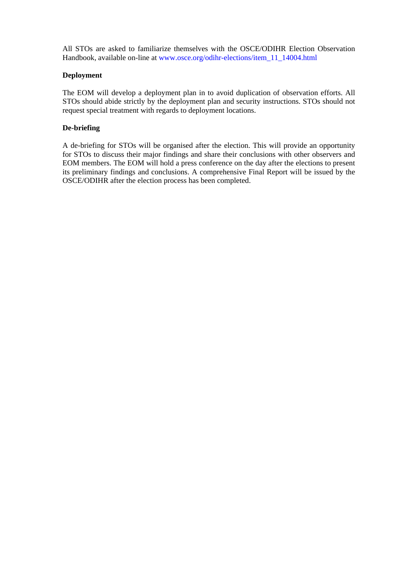All STOs are asked to familiarize themselves with the OSCE/ODIHR Election Observation Handbook, available on-line at www.osce.org/odihr-elections/item\_11\_14004.html

#### **Deployment**

The EOM will develop a deployment plan in to avoid duplication of observation efforts. All STOs should abide strictly by the deployment plan and security instructions. STOs should not request special treatment with regards to deployment locations.

## **De-briefing**

A de-briefing for STOs will be organised after the election. This will provide an opportunity for STOs to discuss their major findings and share their conclusions with other observers and EOM members. The EOM will hold a press conference on the day after the elections to present its preliminary findings and conclusions. A comprehensive Final Report will be issued by the OSCE/ODIHR after the election process has been completed.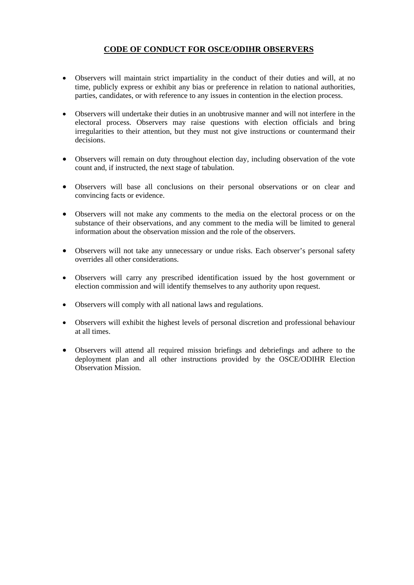# **CODE OF CONDUCT FOR OSCE/ODIHR OBSERVERS**

- Observers will maintain strict impartiality in the conduct of their duties and will, at no time, publicly express or exhibit any bias or preference in relation to national authorities, parties, candidates, or with reference to any issues in contention in the election process.
- Observers will undertake their duties in an unobtrusive manner and will not interfere in the electoral process. Observers may raise questions with election officials and bring irregularities to their attention, but they must not give instructions or countermand their decisions.
- Observers will remain on duty throughout election day, including observation of the vote count and, if instructed, the next stage of tabulation.
- Observers will base all conclusions on their personal observations or on clear and convincing facts or evidence.
- Observers will not make any comments to the media on the electoral process or on the substance of their observations, and any comment to the media will be limited to general information about the observation mission and the role of the observers.
- Observers will not take any unnecessary or undue risks. Each observer's personal safety overrides all other considerations.
- Observers will carry any prescribed identification issued by the host government or election commission and will identify themselves to any authority upon request.
- Observers will comply with all national laws and regulations.
- Observers will exhibit the highest levels of personal discretion and professional behaviour at all times.
- Observers will attend all required mission briefings and debriefings and adhere to the deployment plan and all other instructions provided by the OSCE/ODIHR Election Observation Mission.